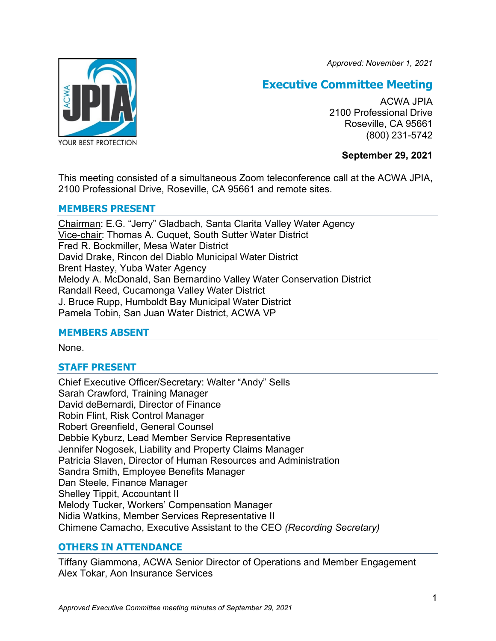*Approved: November 1, 2021*



# **Executive Committee Meeting**

ACWA JPIA 2100 Professional Drive Roseville, CA 95661 (800) 231-5742

# **September 29, 2021**

This meeting consisted of a simultaneous Zoom teleconference call at the ACWA JPIA, 2100 Professional Drive, Roseville, CA 95661 and remote sites.

# **MEMBERS PRESENT**

Chairman: E.G. "Jerry" Gladbach, Santa Clarita Valley Water Agency Vice-chair: Thomas A. Cuquet, South Sutter Water District Fred R. Bockmiller, Mesa Water District David Drake, Rincon del Diablo Municipal Water District Brent Hastey, Yuba Water Agency Melody A. McDonald, San Bernardino Valley Water Conservation District Randall Reed, Cucamonga Valley Water District J. Bruce Rupp, Humboldt Bay Municipal Water District Pamela Tobin, San Juan Water District, ACWA VP

# **MEMBERS ABSENT**

None.

# **STAFF PRESENT**

Chief Executive Officer/Secretary: Walter "Andy" Sells Sarah Crawford, Training Manager David deBernardi, Director of Finance Robin Flint, Risk Control Manager Robert Greenfield, General Counsel Debbie Kyburz, Lead Member Service Representative Jennifer Nogosek, Liability and Property Claims Manager Patricia Slaven, Director of Human Resources and Administration Sandra Smith, Employee Benefits Manager Dan Steele, Finance Manager Shelley Tippit, Accountant II Melody Tucker, Workers' Compensation Manager Nidia Watkins, Member Services Representative II Chimene Camacho, Executive Assistant to the CEO *(Recording Secretary)*

# **OTHERS IN ATTENDANCE**

Tiffany Giammona, ACWA Senior Director of Operations and Member Engagement Alex Tokar, Aon Insurance Services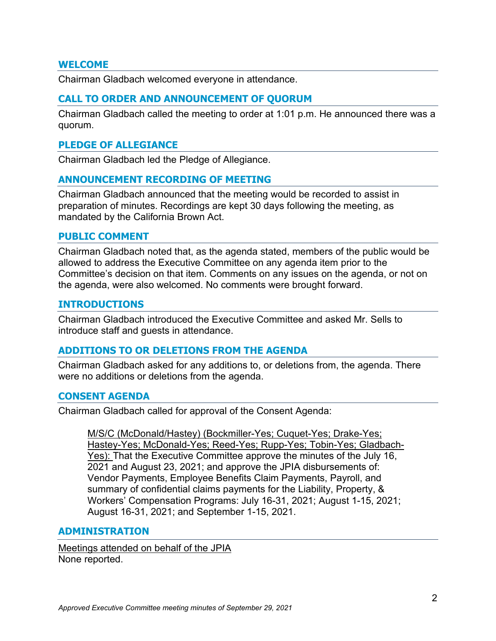## **WELCOME**

Chairman Gladbach welcomed everyone in attendance.

## **CALL TO ORDER AND ANNOUNCEMENT OF QUORUM**

Chairman Gladbach called the meeting to order at 1:01 p.m. He announced there was a quorum.

#### **PLEDGE OF ALLEGIANCE**

Chairman Gladbach led the Pledge of Allegiance.

## **ANNOUNCEMENT RECORDING OF MEETING**

Chairman Gladbach announced that the meeting would be recorded to assist in preparation of minutes. Recordings are kept 30 days following the meeting, as mandated by the California Brown Act.

## **PUBLIC COMMENT**

Chairman Gladbach noted that, as the agenda stated, members of the public would be allowed to address the Executive Committee on any agenda item prior to the Committee's decision on that item. Comments on any issues on the agenda, or not on the agenda, were also welcomed. No comments were brought forward.

#### **INTRODUCTIONS**

Chairman Gladbach introduced the Executive Committee and asked Mr. Sells to introduce staff and guests in attendance.

#### **ADDITIONS TO OR DELETIONS FROM THE AGENDA**

Chairman Gladbach asked for any additions to, or deletions from, the agenda. There were no additions or deletions from the agenda.

#### **CONSENT AGENDA**

Chairman Gladbach called for approval of the Consent Agenda:

M/S/C (McDonald/Hastey) (Bockmiller-Yes; Cuquet-Yes; Drake-Yes; Hastey-Yes; McDonald-Yes; Reed-Yes; Rupp-Yes; Tobin-Yes; Gladbach-Yes): That the Executive Committee approve the minutes of the July 16, 2021 and August 23, 2021; and approve the JPIA disbursements of: Vendor Payments, Employee Benefits Claim Payments, Payroll, and summary of confidential claims payments for the Liability, Property, & Workers' Compensation Programs: July 16-31, 2021; August 1-15, 2021; August 16-31, 2021; and September 1-15, 2021.

#### **ADMINISTRATION**

Meetings attended on behalf of the JPIA None reported.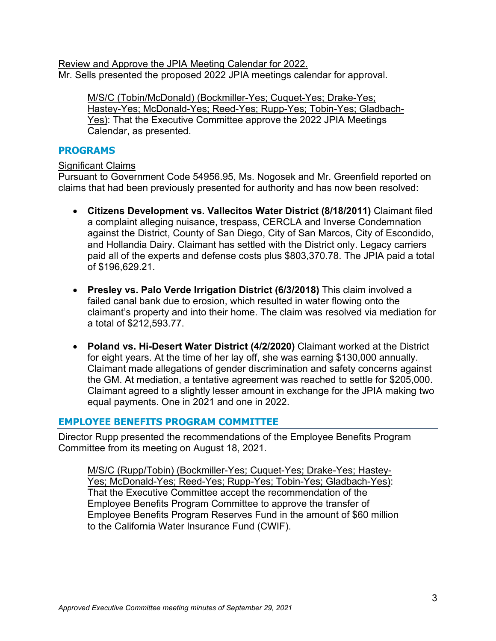Review and Approve the JPIA Meeting Calendar for 2022. Mr. Sells presented the proposed 2022 JPIA meetings calendar for approval.

M/S/C (Tobin/McDonald) (Bockmiller-Yes; Cuquet-Yes; Drake-Yes; Hastey-Yes; McDonald-Yes; Reed-Yes; Rupp-Yes; Tobin-Yes; Gladbach-Yes): That the Executive Committee approve the 2022 JPIA Meetings Calendar, as presented.

# **PROGRAMS**

Significant Claims

Pursuant to Government Code 54956.95, Ms. Nogosek and Mr. Greenfield reported on claims that had been previously presented for authority and has now been resolved:

- **Citizens Development vs. Vallecitos Water District (8/18/2011)** Claimant filed a complaint alleging nuisance, trespass, CERCLA and Inverse Condemnation against the District, County of San Diego, City of San Marcos, City of Escondido, and Hollandia Dairy. Claimant has settled with the District only. Legacy carriers paid all of the experts and defense costs plus \$803,370.78. The JPIA paid a total of \$196,629.21.
- **Presley vs. Palo Verde Irrigation District (6/3/2018)** This claim involved a failed canal bank due to erosion, which resulted in water flowing onto the claimant's property and into their home. The claim was resolved via mediation for a total of \$212,593.77.
- **Poland vs. Hi-Desert Water District (4/2/2020)** Claimant worked at the District for eight years. At the time of her lay off, she was earning \$130,000 annually. Claimant made allegations of gender discrimination and safety concerns against the GM. At mediation, a tentative agreement was reached to settle for \$205,000. Claimant agreed to a slightly lesser amount in exchange for the JPIA making two equal payments. One in 2021 and one in 2022.

# **EMPLOYEE BENEFITS PROGRAM COMMITTEE**

Director Rupp presented the recommendations of the Employee Benefits Program Committee from its meeting on August 18, 2021.

M/S/C (Rupp/Tobin) (Bockmiller-Yes; Cuquet-Yes; Drake-Yes; Hastey-Yes; McDonald-Yes; Reed-Yes; Rupp-Yes; Tobin-Yes; Gladbach-Yes): That the Executive Committee accept the recommendation of the Employee Benefits Program Committee to approve the transfer of Employee Benefits Program Reserves Fund in the amount of \$60 million to the California Water Insurance Fund (CWIF).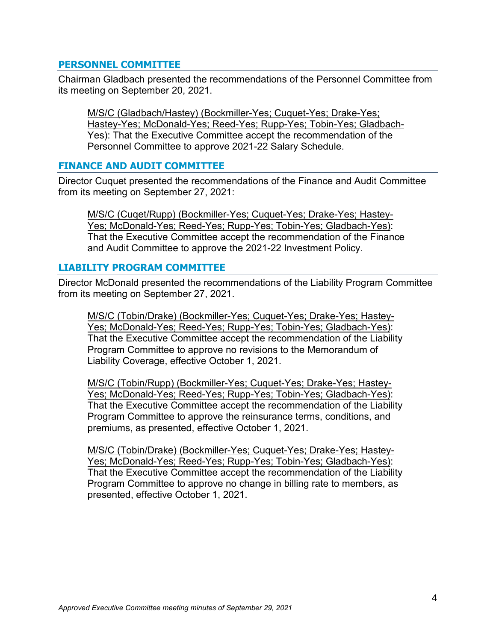# **PERSONNEL COMMITTEE**

Chairman Gladbach presented the recommendations of the Personnel Committee from its meeting on September 20, 2021.

M/S/C (Gladbach/Hastey) (Bockmiller-Yes; Cuquet-Yes; Drake-Yes; Hastey-Yes; McDonald-Yes; Reed-Yes; Rupp-Yes; Tobin-Yes; Gladbach-Yes): That the Executive Committee accept the recommendation of the Personnel Committee to approve 2021-22 Salary Schedule.

# **FINANCE AND AUDIT COMMITTEE**

Director Cuquet presented the recommendations of the Finance and Audit Committee from its meeting on September 27, 2021:

M/S/C (Cuqet/Rupp) (Bockmiller-Yes; Cuquet-Yes; Drake-Yes; Hastey-Yes; McDonald-Yes; Reed-Yes; Rupp-Yes; Tobin-Yes; Gladbach-Yes): That the Executive Committee accept the recommendation of the Finance and Audit Committee to approve the 2021-22 Investment Policy.

## **LIABILITY PROGRAM COMMITTEE**

Director McDonald presented the recommendations of the Liability Program Committee from its meeting on September 27, 2021.

M/S/C (Tobin/Drake) (Bockmiller-Yes; Cuquet-Yes; Drake-Yes; Hastey-Yes; McDonald-Yes; Reed-Yes; Rupp-Yes; Tobin-Yes; Gladbach-Yes): That the Executive Committee accept the recommendation of the Liability Program Committee to approve no revisions to the Memorandum of Liability Coverage, effective October 1, 2021.

M/S/C (Tobin/Rupp) (Bockmiller-Yes; Cuquet-Yes; Drake-Yes; Hastey-Yes; McDonald-Yes; Reed-Yes; Rupp-Yes; Tobin-Yes; Gladbach-Yes): That the Executive Committee accept the recommendation of the Liability Program Committee to approve the reinsurance terms, conditions, and premiums, as presented, effective October 1, 2021.

M/S/C (Tobin/Drake) (Bockmiller-Yes; Cuquet-Yes; Drake-Yes; Hastey-Yes; McDonald-Yes; Reed-Yes; Rupp-Yes; Tobin-Yes; Gladbach-Yes): That the Executive Committee accept the recommendation of the Liability Program Committee to approve no change in billing rate to members, as presented, effective October 1, 2021.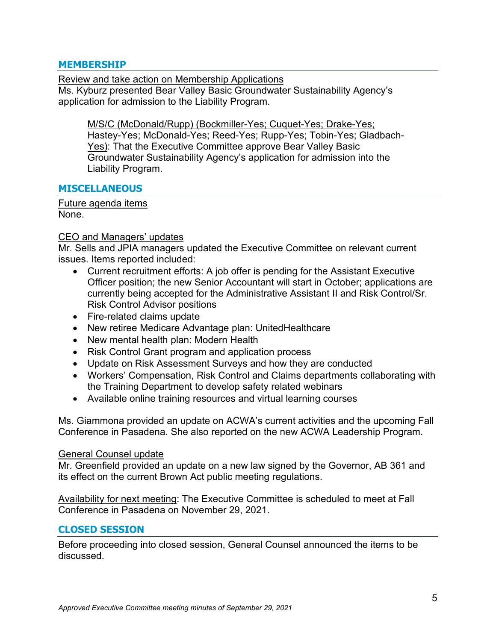## **MEMBERSHIP**

Review and take action on Membership Applications

Ms. Kyburz presented Bear Valley Basic Groundwater Sustainability Agency's application for admission to the Liability Program.

M/S/C (McDonald/Rupp) (Bockmiller-Yes; Cuquet-Yes; Drake-Yes; Hastey-Yes; McDonald-Yes; Reed-Yes; Rupp-Yes; Tobin-Yes; Gladbach-Yes): That the Executive Committee approve Bear Valley Basic Groundwater Sustainability Agency's application for admission into the Liability Program.

# **MISCELLANEOUS**

Future agenda items None.

## CEO and Managers' updates

Mr. Sells and JPIA managers updated the Executive Committee on relevant current issues. Items reported included:

- Current recruitment efforts: A job offer is pending for the Assistant Executive Officer position; the new Senior Accountant will start in October; applications are currently being accepted for the Administrative Assistant II and Risk Control/Sr. Risk Control Advisor positions
- Fire-related claims update
- New retiree Medicare Advantage plan: UnitedHealthcare
- New mental health plan: Modern Health
- Risk Control Grant program and application process
- Update on Risk Assessment Surveys and how they are conducted
- Workers' Compensation, Risk Control and Claims departments collaborating with the Training Department to develop safety related webinars
- Available online training resources and virtual learning courses

Ms. Giammona provided an update on ACWA's current activities and the upcoming Fall Conference in Pasadena. She also reported on the new ACWA Leadership Program.

#### General Counsel update

Mr. Greenfield provided an update on a new law signed by the Governor, AB 361 and its effect on the current Brown Act public meeting regulations.

Availability for next meeting: The Executive Committee is scheduled to meet at Fall Conference in Pasadena on November 29, 2021.

# **CLOSED SESSION**

Before proceeding into closed session, General Counsel announced the items to be discussed.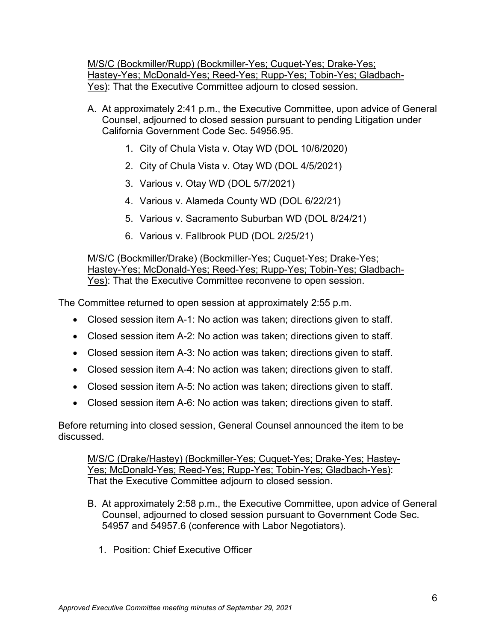M/S/C (Bockmiller/Rupp) (Bockmiller-Yes; Cuquet-Yes; Drake-Yes; Hastey-Yes; McDonald-Yes; Reed-Yes; Rupp-Yes; Tobin-Yes; Gladbach-Yes): That the Executive Committee adjourn to closed session.

- A. At approximately 2:41 p.m., the Executive Committee, upon advice of General Counsel, adjourned to closed session pursuant to pending Litigation under California Government Code Sec. 54956.95.
	- 1. City of Chula Vista v. Otay WD (DOL 10/6/2020)
	- 2. City of Chula Vista v. Otay WD (DOL 4/5/2021)
	- 3. Various v. Otay WD (DOL 5/7/2021)
	- 4. Various v. Alameda County WD (DOL 6/22/21)
	- 5. Various v. Sacramento Suburban WD (DOL 8/24/21)
	- 6. Various v. Fallbrook PUD (DOL 2/25/21)

M/S/C (Bockmiller/Drake) (Bockmiller-Yes; Cuquet-Yes; Drake-Yes; Hastey-Yes; McDonald-Yes; Reed-Yes; Rupp-Yes; Tobin-Yes; Gladbach-Yes): That the Executive Committee reconvene to open session.

The Committee returned to open session at approximately 2:55 p.m.

- Closed session item A-1: No action was taken; directions given to staff.
- Closed session item A-2: No action was taken; directions given to staff.
- Closed session item A-3: No action was taken; directions given to staff.
- Closed session item A-4: No action was taken; directions given to staff.
- Closed session item A-5: No action was taken; directions given to staff.
- Closed session item A-6: No action was taken; directions given to staff.

Before returning into closed session, General Counsel announced the item to be discussed.

M/S/C (Drake/Hastey) (Bockmiller-Yes; Cuquet-Yes; Drake-Yes; Hastey-Yes; McDonald-Yes; Reed-Yes; Rupp-Yes; Tobin-Yes; Gladbach-Yes): That the Executive Committee adjourn to closed session.

- B. At approximately 2:58 p.m., the Executive Committee, upon advice of General Counsel, adjourned to closed session pursuant to Government Code Sec. 54957 and 54957.6 (conference with Labor Negotiators).
	- 1. Position: Chief Executive Officer